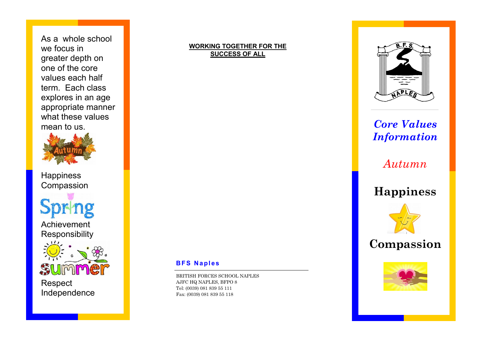As a whole school we focus in greater depth on one of the core values each half term. Each class explores in an age appropriate manner what these values mean to us.



**Happiness** Compassion

Achievement Responsibility



Respect Independence

#### **WORKING TOGETHER FOR THE SUCCESS OF ALL**



## *Core Values Information*

*Autumn* 

## **Happiness**







#### **BFS Naples**

BRITISH FORCES SCHOOL NAPLES AJFC HQ NAPLES, BFPO 8 Tel: (0039) 081 839 55 111 Fax: (0039) 081 839 55 118